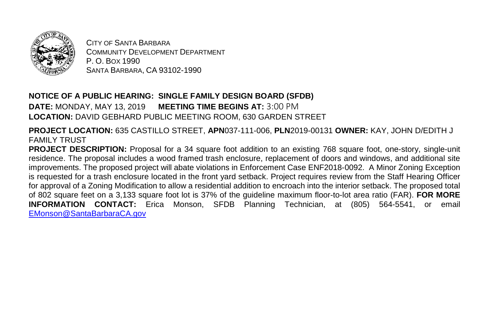

CITY OF SANTA BARBARA COMMUNITY DEVELOPMENT DEPARTMENT P. O. BOX 1990 SANTA BARBARA, CA 93102-1990

## **NOTICE OF A PUBLIC HEARING: SINGLE FAMILY DESIGN BOARD (SFDB)**

**DATE:** MONDAY, MAY 13, 2019 **MEETING TIME BEGINS AT:** 3:00 PM **LOCATION:** DAVID GEBHARD PUBLIC MEETING ROOM, 630 GARDEN STREET

**PROJECT LOCATION:** 635 CASTILLO STREET, **APN**037-111-006, **PLN**2019-00131 **OWNER:** KAY, JOHN D/EDITH J FAMILY TRUST

**PROJECT DESCRIPTION:** Proposal for a 34 square foot addition to an existing 768 square foot, one-story, single-unit residence. The proposal includes a wood framed trash enclosure, replacement of doors and windows, and additional site improvements. The proposed project will abate violations in Enforcement Case ENF2018-0092. A Minor Zoning Exception is requested for a trash enclosure located in the front yard setback. Project requires review from the Staff Hearing Officer for approval of a Zoning Modification to allow a residential addition to encroach into the interior setback. The proposed total of 802 square feet on a 3,133 square foot lot is 37% of the guideline maximum floor-to-lot area ratio (FAR). **FOR MORE INFORMATION CONTACT:** Erica Monson, SFDB Planning Technician, at (805) 564-5541, or email [EMonson@SantaBarbaraCA.gov](mailto:EMonson@SantaBarbaraCA.gov)